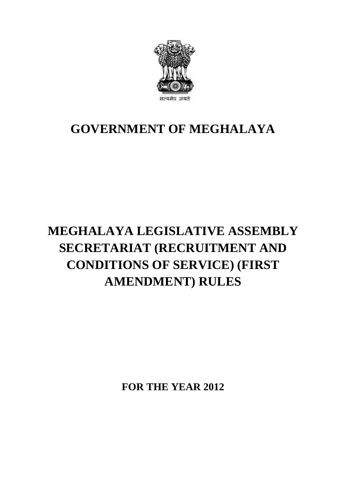

#### **GOVERNMENT OF MEGHALAYA**

## **MEGHALAYA LEGISLATIVE ASSEMBLY SECRETARIAT (RECRUITMENT AND CONDITIONS OF SERVICE) (FIRST AMENDMENT) RULES**

**FOR THE YEAR 2012**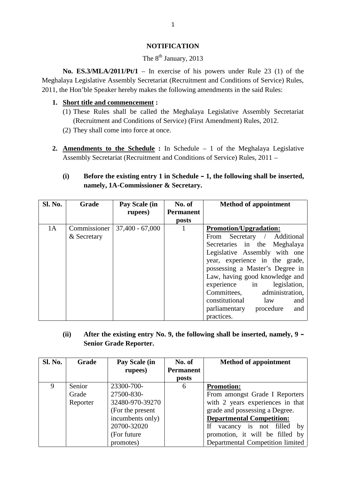#### **NOTIFICATION**

#### The  $8<sup>th</sup>$  January, 2013

**No. ES.3/MLA/2011/Pt/1** – In exercise of his powers under Rule 23 (1) of the Meghalaya Legislative Assembly Secretariat (Recruitment and Conditions of Service) Rules, 2011, the Hon'ble Speaker hereby makes the following amendments in the said Rules: **1. Short title and commencement :**<br> **1. Short title and commencement :**<br> **1. Short title and commencement :**<br> **1. Short title and commencement :**<br> **1. Short title and commencement :** No. ES.3/MLA/2011/Pt/1 – In exercise of his powers under Rule 23 (1) of the aya Legislative Assembly Secretariat (Recruitment and Conditions of Service) Rules, ne Hon'ble Speaker hereby makes the following amendments in th

- Legislative Assembly Secretariat (Recruitment and Conditions of Service) R<br>Ion'ble Speaker hereby makes the following amendments in the said Rules:<br> **out title and commencement:**<br>
These Rules shall be called the Meghalaya The Hon'ble Speaker hereby makes the follow<br>
Short title and commencement :<br>
(1) These Rules shall be called the Meg<br>
(Recruitment and Conditions of Service<br>
(2) They shall come into force at once.
- 
- 1) These Rules shall be called the Meghalaya Legislative Assembly Secretariat<br>
(Recruitment and Conditions of Service) (First Amendment) Rules, 2012.<br>
2. <u>Amendments to the Schedule</u> : In Schedule 1 of the Meghalaya Legi Assembly Secretariat (Recruitment and Conditions of Service) Rules, 2011 – **Amendments to the Schedule** : In Schedule – 1 of the Meghalaya Legislative Assembly Secretariat (Recruitment and Conditions of Service) Rules, 2011 –<br> **(i)** Before the existing entry 1 in Schedule – 1, the following shall

## **namely, 1A-Commissioner & Secretary.**

| <b>Sl. No.</b> | Grade                       | Pay Scale (in<br>rupees) | No. of<br><b>Permanent</b><br>posts | <b>Method of appointment</b>                                                                                                                                                                                                                                                                                                                                                                       |
|----------------|-----------------------------|--------------------------|-------------------------------------|----------------------------------------------------------------------------------------------------------------------------------------------------------------------------------------------------------------------------------------------------------------------------------------------------------------------------------------------------------------------------------------------------|
| 1A             | Commissioner<br>& Secretary | $37,400 - 67,000$        | 1                                   | <b>Promotion/Upgradation:</b><br>Secretary $/$<br>From<br>Additional<br>Secretaries in the Meghalaya<br>Legislative Assembly with one<br>year, experience in the grade,<br>possessing a Master's Degree in<br>Law, having good knowledge and<br>legislation,<br>experience<br>in<br>Committees,<br>administration,<br>constitutional<br>law<br>and<br>parliamentary procedure<br>and<br>practices. |

| (ii)<br>After the existing entry No. 9, the following shall be inserted, namely, $9 -$<br><b>Senior Grade Reporter.</b> |              |                          |                                     |                                   |  |
|-------------------------------------------------------------------------------------------------------------------------|--------------|--------------------------|-------------------------------------|-----------------------------------|--|
| Sl. No.                                                                                                                 | <b>Grade</b> | Pay Scale (in<br>rupees) | No. of<br><b>Permanent</b><br>posts | <b>Method of appointment</b>      |  |
| 9                                                                                                                       | Senior       | 23300-700-               | 6                                   | <b>Promotion:</b>                 |  |
|                                                                                                                         | Grade        | 27500-830-               |                                     | From amongst Grade I Reporters    |  |
|                                                                                                                         | Reporter     | 32480-970-39270          |                                     | with 2 years experiences in that  |  |
|                                                                                                                         |              | (For the present)        |                                     | grade and possessing a Degree.    |  |
|                                                                                                                         |              | incumbents only)         |                                     | <b>Departmental Competition:</b>  |  |
|                                                                                                                         |              | 20700-32020              |                                     | If<br>vacancy is not filled<br>by |  |
|                                                                                                                         |              | (For future)             |                                     | promotion, it will be filled by   |  |
|                                                                                                                         |              | promotes)                |                                     | Departmental Competition limited  |  |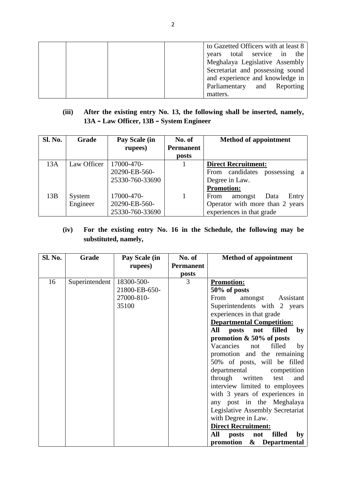| to Gazetted Officers with at least 8<br>years total service in the<br>Meghalaya Legislative Assembly |
|------------------------------------------------------------------------------------------------------|
| Secretariat and possessing sound<br>and experience and knowledge in                                  |
| Parliamentary and Reporting<br>matters.                                                              |

# **13A – Law Officer, 13B – System Engineer**

| Sl. No. | <b>Grade</b> | Pay Scale (in   | No. of                    | <b>Method of appointment</b>     |
|---------|--------------|-----------------|---------------------------|----------------------------------|
|         |              | rupees)         | <b>Permanent</b><br>posts |                                  |
| 13A     | Law Officer  | 17000-470-      | 1                         | <b>Direct Recruitment:</b>       |
|         |              | 20290-EB-560-   |                           | From candidates possessing<br>a  |
|         |              | 25330-760-33690 |                           | Degree in Law.                   |
|         |              |                 |                           | <b>Promotion:</b>                |
| 13B     | System       | 17000-470-      | 1                         | Data<br>From<br>amongst<br>Entry |
|         | Engineer     | 20290-EB-560-   |                           | Operator with more than 2 years  |
|         |              | 25330-760-33690 |                           | experiences in that grade        |

# **substituted, namely,**

| Sl. No. | <b>Grade</b>   | Pay Scale (in<br>rupees)                           | No. of<br><b>Permanent</b><br>posts | <b>Method of appointment</b>                                                                                                                                                                                                                                                                                                                                                                                                                                                                                                                                                                                                                                                              |
|---------|----------------|----------------------------------------------------|-------------------------------------|-------------------------------------------------------------------------------------------------------------------------------------------------------------------------------------------------------------------------------------------------------------------------------------------------------------------------------------------------------------------------------------------------------------------------------------------------------------------------------------------------------------------------------------------------------------------------------------------------------------------------------------------------------------------------------------------|
| 16      | Superintendent | 18300-500-<br>21800-EB-650-<br>27000-810-<br>35100 | 3                                   | <b>Promotion:</b><br>50% of posts<br>From<br>amongst<br>Assistant<br>Superintendents with 2 years<br>experiences in that grade<br><b>Departmental Competition:</b><br>All<br>posts<br>not<br>filled<br>by<br>promotion $& 50\%$ of posts<br>Vacancies<br>filled<br>not<br>by<br>promotion and the remaining<br>50% of posts, will be filled<br>departmental<br>competition<br>through<br>written<br>test<br>and<br>interview limited to employees<br>with 3 years of experiences in<br>any post in the Meghalaya<br>Legislative Assembly Secretariat<br>with Degree in Law.<br><b>Direct Recruitment:</b><br>All<br>posts<br>filled<br>not<br>by<br>promotion<br>&<br><b>Departmental</b> |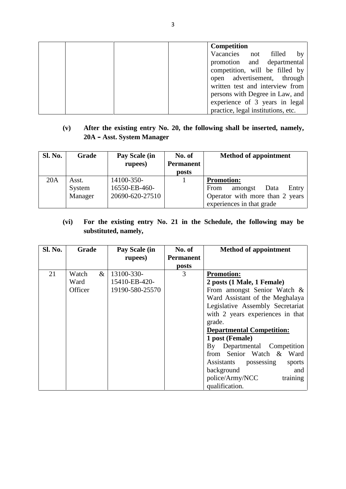| promotion and departmental<br>competition, will be filled by<br>open advertisement, through<br>written test and interview from<br>persons with Degree in Law, and<br>experience of 3 years in legal<br>practice, legal institutions, etc. |
|-------------------------------------------------------------------------------------------------------------------------------------------------------------------------------------------------------------------------------------------|
|-------------------------------------------------------------------------------------------------------------------------------------------------------------------------------------------------------------------------------------------|

| <b>Sl. No.</b> | Grade   | Pay Scale (in   | No. of                    | <b>Method of appointment</b>                                 |
|----------------|---------|-----------------|---------------------------|--------------------------------------------------------------|
|                |         | rupees)         | <b>Permanent</b><br>posts |                                                              |
| 20A            | Asst.   | 14100-350-      |                           | <b>Promotion:</b>                                            |
|                | System  | 16550-EB-460-   |                           | Entry<br>From<br>amongst<br>Data                             |
|                | Manager | 20690-620-27510 |                           | Operator with more than 2 years<br>experiences in that grade |

# **substituted, namely,**

|                | substituted, namely, |      |                 |                  |                                           |  |
|----------------|----------------------|------|-----------------|------------------|-------------------------------------------|--|
| <b>Sl. No.</b> | Grade                |      | Pay Scale (in   | No. of           | <b>Method of appointment</b>              |  |
|                |                      |      | rupees)         | <b>Permanent</b> |                                           |  |
| 21             | Watch                | $\&$ | 13100-330-      | posts<br>3       | <b>Promotion:</b>                         |  |
|                | Ward                 |      | 15410-EB-420-   |                  | 2 posts (1 Male, 1 Female)                |  |
|                | Officer              |      | 19190-580-25570 |                  | From amongst Senior Watch &               |  |
|                |                      |      |                 |                  | Ward Assistant of the Meghalaya           |  |
|                |                      |      |                 |                  | Legislative Assembly Secretariat          |  |
|                |                      |      |                 |                  | with 2 years experiences in that          |  |
|                |                      |      |                 |                  | grade.                                    |  |
|                |                      |      |                 |                  | <b>Departmental Competition:</b>          |  |
|                |                      |      |                 |                  | 1 post (Female)                           |  |
|                |                      |      |                 |                  | By Departmental Competition               |  |
|                |                      |      |                 |                  | from Senior Watch &<br>Ward               |  |
|                |                      |      |                 |                  | <b>Assistants</b><br>possessing<br>sports |  |
|                |                      |      |                 |                  | background<br>and                         |  |
|                |                      |      |                 |                  | police/Army/NCC<br>training               |  |
|                |                      |      |                 |                  | qualification.                            |  |